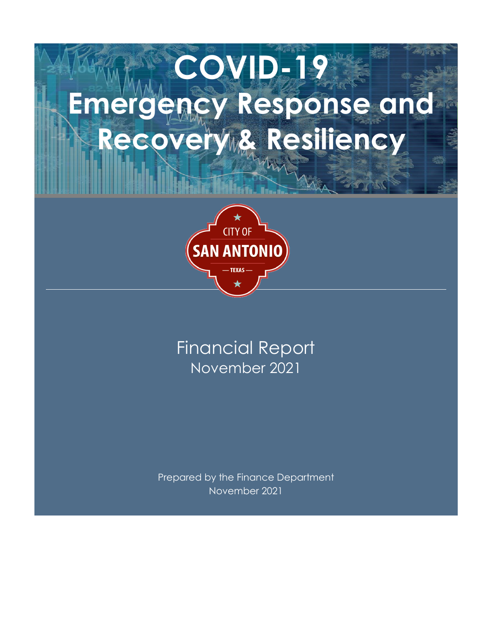# **COVID-19 Emergency Response and**  Recovery & Resiliency



### November 2021 Financial Report

Prepared by the Finance Department November 2021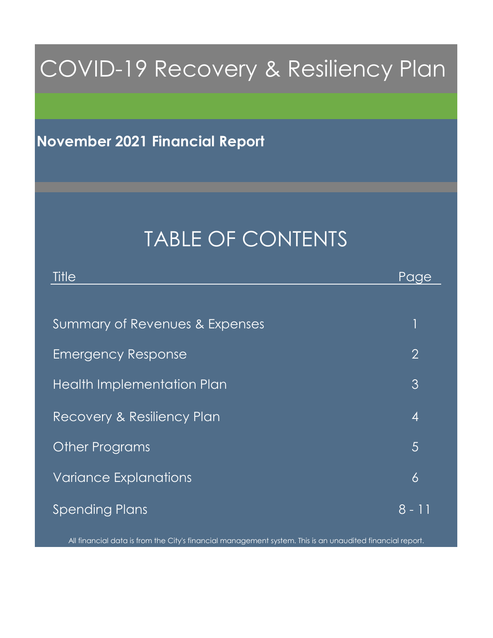## COVID-19 Recovery & Resiliency Plan

### **November 2021 Financial Report**

## TABLE OF CONTENTS

| Title                          | Page           |
|--------------------------------|----------------|
|                                |                |
| Summary of Revenues & Expenses | 1              |
| <b>Emergency Response</b>      | $\overline{2}$ |
| Health Implementation Plan     | 3              |
| Recovery & Resiliency Plan     | $\overline{4}$ |
| <b>Other Programs</b>          | 5              |
| <b>Variance Explanations</b>   | 6              |
| <b>Spending Plans</b>          | $8 - 11$       |

All financial data is from the City's financial management system. This is an unaudited financial report.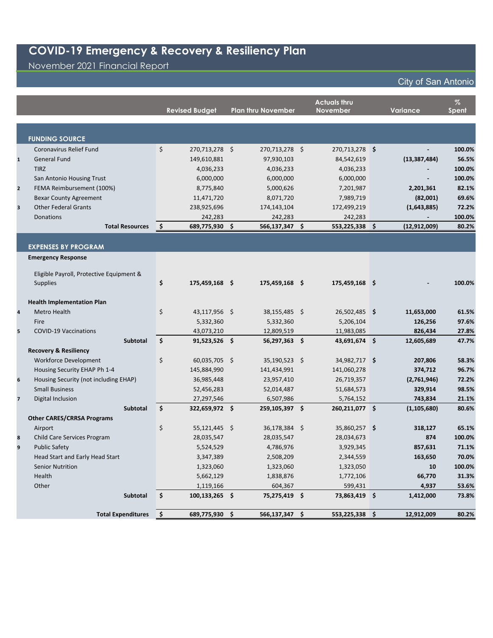November 2021 Financial Report

|                         |                                          |                     | <b>Revised Budget</b>     | <b>Plan thru November</b> | <b>Actuals thru</b><br><b>November</b> | Variance       | $\%$<br><b>Spent</b> |
|-------------------------|------------------------------------------|---------------------|---------------------------|---------------------------|----------------------------------------|----------------|----------------------|
|                         |                                          |                     |                           |                           |                                        |                |                      |
|                         | <b>FUNDING SOURCE</b>                    |                     |                           |                           |                                        |                |                      |
|                         | Coronavirus Relief Fund                  | \$                  | 270,713,278 \$            | 270,713,278 \$            | 270,713,278 \$                         |                | 100.0%               |
| $\mathbf{1}$            | <b>General Fund</b>                      |                     | 149,610,881               | 97,930,103                | 84,542,619                             | (13, 387, 484) | 56.5%                |
|                         | <b>TIRZ</b>                              |                     | 4,036,233                 | 4,036,233                 | 4,036,233                              |                | 100.0%               |
|                         | San Antonio Housing Trust                |                     | 6,000,000                 | 6,000,000                 | 6,000,000                              |                | 100.0%               |
| $\mathbf{2}$            | FEMA Reimbursement (100%)                |                     | 8,775,840                 | 5,000,626                 | 7,201,987                              | 2,201,361      | 82.1%                |
|                         | <b>Bexar County Agreement</b>            |                     | 11,471,720                | 8,071,720                 | 7,989,719                              | (82,001)       | 69.6%                |
| 3                       | <b>Other Federal Grants</b>              |                     | 238,925,696               | 174,143,104               | 172,499,219                            | (1,643,885)    | 72.2%                |
|                         | Donations<br><b>Total Resources</b>      |                     | 242,283<br>689,775,930 \$ | 242,283                   | 242,283                                |                | 100.0%               |
|                         |                                          | $\ddot{\bm{\zeta}}$ |                           | 566,137,347 \$            | 553,225,338 \$                         | (12, 912, 009) | 80.2%                |
|                         | <b>EXPENSES BY PROGRAM</b>               |                     |                           |                           |                                        |                |                      |
|                         | <b>Emergency Response</b>                |                     |                           |                           |                                        |                |                      |
|                         |                                          |                     |                           |                           |                                        |                |                      |
|                         | Eligible Payroll, Protective Equipment & |                     |                           |                           |                                        |                |                      |
|                         | <b>Supplies</b>                          | \$                  | 175,459,168 \$            | 175,459,168 \$            | 175,459,168 \$                         |                | 100.0%               |
|                         | <b>Health Implementation Plan</b>        |                     |                           |                           |                                        |                |                      |
| 4                       | Metro Health                             | \$                  | 43,117,956 \$             | 38,155,485 \$             | 26,502,485 \$                          | 11,653,000     | 61.5%                |
|                         | Fire                                     |                     | 5,332,360                 | 5,332,360                 | 5,206,104                              | 126,256        | 97.6%                |
| 5                       | <b>COVID-19 Vaccinations</b>             |                     | 43,073,210                | 12,809,519                | 11,983,085                             | 826,434        | 27.8%                |
|                         | <b>Subtotal</b>                          | \$                  | $91,523,526$ \$           | 56,297,363 \$             | 43,691,674 \$                          | 12,605,689     | 47.7%                |
|                         | <b>Recovery &amp; Resiliency</b>         |                     |                           |                           |                                        |                |                      |
|                         | <b>Workforce Development</b>             | \$                  | 60,035,705 \$             | 35,190,523 \$             | 34,982,717 \$                          | 207,806        | 58.3%                |
|                         | Housing Security EHAP Ph 1-4             |                     | 145,884,990               | 141,434,991               | 141,060,278                            | 374,712        | 96.7%                |
| 6                       | Housing Security (not including EHAP)    |                     | 36,985,448                | 23,957,410                | 26,719,357                             | (2,761,946)    | 72.2%                |
|                         | <b>Small Business</b>                    |                     | 52,456,283                | 52,014,487                | 51,684,573                             | 329,914        | 98.5%                |
| $\overline{\mathbf{z}}$ | Digital Inclusion                        |                     | 27,297,546                | 6,507,986                 | 5,764,152                              | 743,834        | 21.1%                |
|                         | <b>Subtotal</b>                          | \$                  | 322,659,972 \$            | 259,105,397 \$            | 260,211,077 \$                         | (1, 105, 680)  | 80.6%                |
|                         | <b>Other CARES/CRRSA Programs</b>        |                     |                           |                           |                                        |                |                      |
|                         | Airport                                  | \$                  | 55,121,445 \$             | 36,178,384 \$             | 35,860,257 \$                          | 318,127        | 65.1%                |
| 8                       | Child Care Services Program              |                     | 28,035,547                | 28,035,547                | 28,034,673                             | 874            | 100.0%               |
| 9                       | <b>Public Safety</b>                     |                     | 5,524,529                 | 4,786,976                 | 3,929,345                              | 857,631        | 71.1%                |
|                         | Head Start and Early Head Start          |                     | 3,347,389                 | 2,508,209                 | 2,344,559                              | 163,650        | 70.0%                |
|                         | <b>Senior Nutrition</b>                  |                     | 1,323,060                 | 1,323,060                 | 1,323,050                              | 10             | 100.0%               |
|                         | Health                                   |                     | 5,662,129                 | 1,838,876                 | 1,772,106                              | 66,770         | 31.3%                |
|                         | Other                                    |                     | 1,119,166                 | 604,367                   | 599,431                                | 4,937          | 53.6%                |
|                         | Subtotal                                 | $\ddot{\bm{\zeta}}$ | $100, 133, 265$ \$        | 75,275,419 \$             | 73,863,419 \$                          | 1,412,000      | 73.8%                |
|                         | <b>Total Expenditures</b>                | \$                  | 689,775,930 \$            | 566,137,347 \$            | 553,225,338 \$                         | 12,912,009     | 80.2%                |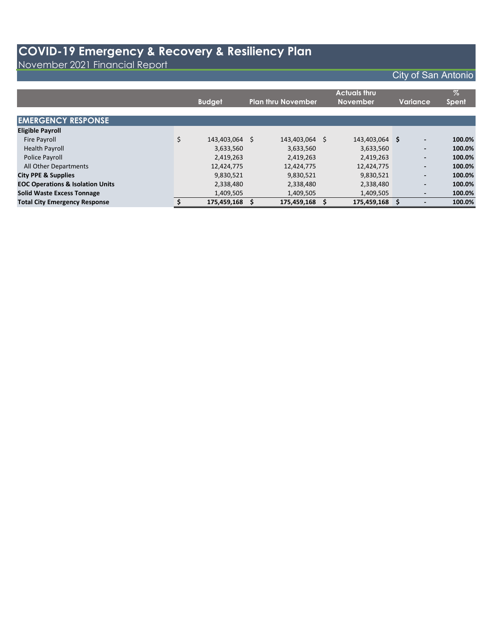November 2021 Financial Report

|                                             | <b>Budget</b>        | <b>Plan thru November</b> |             | <b>Actuals thru</b><br>November |             | Variance |                          | $\%$<br><b>Spent</b> |
|---------------------------------------------|----------------------|---------------------------|-------------|---------------------------------|-------------|----------|--------------------------|----------------------|
| <b>EMERGENCY RESPONSE</b>                   |                      |                           |             |                                 |             |          |                          |                      |
| <b>Eligible Payroll</b>                     |                      |                           |             |                                 |             |          |                          |                      |
| <b>Fire Payroll</b>                         | \$<br>143,403,064 \$ |                           | 143,403,064 | Ŝ.                              | 143,403,064 | \$.      | $\overline{\phantom{a}}$ | 100.0%               |
| <b>Health Payroll</b>                       | 3,633,560            |                           | 3,633,560   |                                 | 3,633,560   |          | $\overline{\phantom{a}}$ | 100.0%               |
| Police Payroll                              | 2,419,263            |                           | 2,419,263   |                                 | 2,419,263   |          | $\overline{\phantom{a}}$ | 100.0%               |
| All Other Departments                       | 12,424,775           |                           | 12,424,775  |                                 | 12,424,775  |          | $\overline{\phantom{a}}$ | 100.0%               |
| <b>City PPE &amp; Supplies</b>              | 9,830,521            |                           | 9,830,521   |                                 | 9,830,521   |          | $\overline{\phantom{a}}$ | 100.0%               |
| <b>EOC Operations &amp; Isolation Units</b> | 2,338,480            |                           | 2,338,480   |                                 | 2,338,480   |          | $\overline{\phantom{a}}$ | 100.0%               |
| <b>Solid Waste Excess Tonnage</b>           | 1,409,505            |                           | 1,409,505   |                                 | 1,409,505   |          | $\overline{\phantom{a}}$ | 100.0%               |
| <b>Total City Emergency Response</b>        | 175,459,168          |                           | 175,459,168 |                                 | 175,459,168 |          |                          | 100.0%               |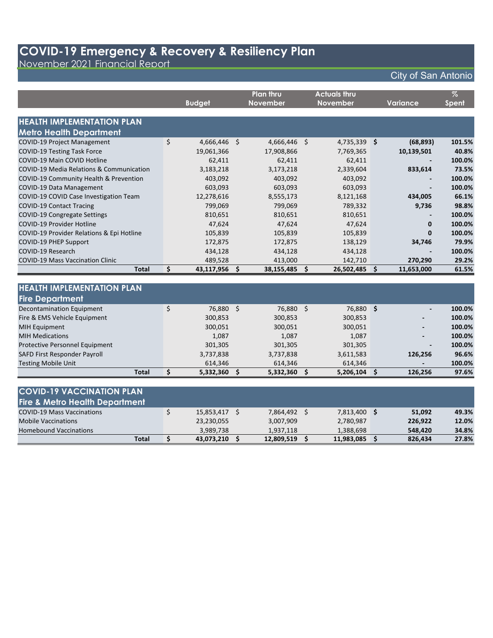November 2021 Financial Report

|                                           |    |               |         | <b>Plan thru</b> |    | <b>Actuals thru</b> |                 | $\%$         |
|-------------------------------------------|----|---------------|---------|------------------|----|---------------------|-----------------|--------------|
|                                           |    | <b>Budget</b> |         | <b>November</b>  |    | <b>November</b>     | <b>Variance</b> | <b>Spent</b> |
| <b>HEALTH IMPLEMENTATION PLAN</b>         |    |               |         |                  |    |                     |                 |              |
| <b>Metro Health Department</b>            |    |               |         |                  |    |                     |                 |              |
| <b>COVID-19 Project Management</b>        | \$ | 4,666,446     | $\zeta$ | 4,666,446        | \$ | 4,735,339 \$        | (68, 893)       | 101.5%       |
| <b>COVID-19 Testing Task Force</b>        |    | 19,061,366    |         | 17,908,866       |    | 7,769,365           | 10,139,501      | 40.8%        |
| COVID-19 Main COVID Hotline               |    | 62,411        |         | 62,411           |    | 62,411              |                 | 100.0%       |
| COVID-19 Media Relations & Communication  |    | 3,183,218     |         | 3,173,218        |    | 2,339,604           | 833,614         | 73.5%        |
| COVID-19 Community Health & Prevention    |    | 403,092       |         | 403,092          |    | 403,092             |                 | 100.0%       |
| <b>COVID-19 Data Management</b>           |    | 603,093       |         | 603,093          |    | 603,093             |                 | 100.0%       |
| COVID-19 COVID Case Investigation Team    |    | 12,278,616    |         | 8,555,173        |    | 8,121,168           | 434,005         | 66.1%        |
| <b>COVID-19 Contact Tracing</b>           |    | 799,069       |         | 799,069          |    | 789,332             | 9,736           | 98.8%        |
| COVID-19 Congregate Settings              |    | 810,651       |         | 810,651          |    | 810,651             |                 | 100.0%       |
| COVID-19 Provider Hotline                 |    | 47,624        |         | 47,624           |    | 47,624              | $\Omega$        | 100.0%       |
| COVID-19 Provider Relations & Epi Hotline |    | 105,839       |         | 105,839          |    | 105,839             | 0               | 100.0%       |
| <b>COVID-19 PHEP Support</b>              |    | 172,875       |         | 172,875          |    | 138,129             | 34,746          | 79.9%        |
| COVID-19 Research                         |    | 434,128       |         | 434,128          |    | 434,128             |                 | 100.0%       |
| <b>COVID-19 Mass Vaccination Clinic</b>   |    | 489,528       |         | 413,000          |    | 142,710             | 270,290         | 29.2%        |
| <b>Total</b>                              | \$ | 43,117,956    | \$.     | 38,155,485       | Ś. | 26,502,485 \$       | 11,653,000      | 61.5%        |
|                                           |    |               |         |                  |    |                     |                 |              |
| <b>HEALTH IMPLEMENTATION PLAN</b>         |    |               |         |                  |    |                     |                 |              |
| <b>Fire Department</b>                    |    |               |         |                  |    |                     |                 |              |
| <b>Decontamination Equipment</b>          | \$ | 76,880 \$     |         | 76,880           | Ś. | 76,880 \$           |                 | 100.0%       |
| Fire & EMS Vehicle Equipment              |    | 300,853       |         | 300,853          |    | 300,853             |                 | 100.0%       |
| <b>MIH Equipment</b>                      |    | 300,051       |         | 300,051          |    | 300,051             | -               | 100.0%       |

| Total                                 | 5,332,360      | 5,332,360 | 5,206,104 | 126.256                  | 97.6%   |
|---------------------------------------|----------------|-----------|-----------|--------------------------|---------|
| <b>Testing Mobile Unit</b>            | 614.346        | 614.346   | 614.346   | $\overline{\phantom{0}}$ | 100.0%  |
| SAFD First Responder Payroll          | 3,737,838      | 3,737,838 | 3,611,583 | 126,256                  | 96.6%   |
| <b>Protective Personnel Equipment</b> | 301,305        | 301,305   | 301,305   |                          | 100.0%  |
| <b>MIH Medications</b>                | 1,087          | 1,087     | 1,087     | $\blacksquare$           | 100.0%  |
| $111111$ Lyuping                      | <u>JUU,UJI</u> | JUU,UJI   | JUU,UJI   |                          | 199.970 |

| <b>COVID-19 VACCINATION PLAN</b>          |            |            |              |         |       |
|-------------------------------------------|------------|------------|--------------|---------|-------|
| <b>Fire &amp; Metro Health Department</b> |            |            |              |         |       |
| <b>COVID-19 Mass Vaccinations</b>         | 15,853,417 | 7,864,492  | 7,813,400 \$ | 51,092  | 49.3% |
| <b>Mobile Vaccinations</b>                | 23,230,055 | 3,007,909  | 2,780,987    | 226.922 | 12.0% |
| <b>Homebound Vaccinations</b>             | 3.989.738  | 1,937,118  | 1,388,698    | 548.420 | 34.8% |
| Total                                     | 43,073,210 | 12,809,519 | 11,983,085   | 826,434 | 27.8% |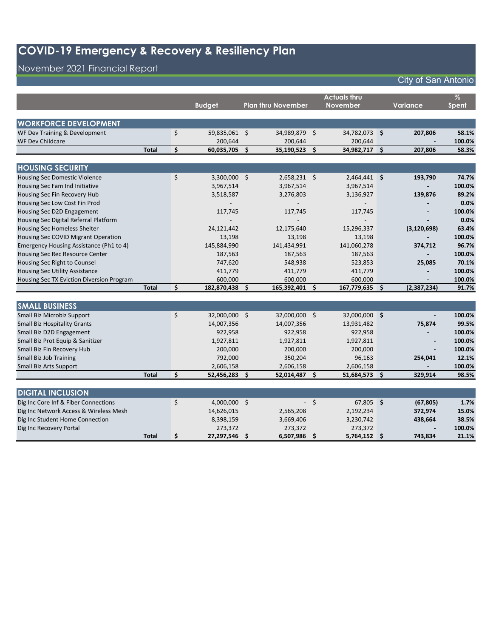### November 2021 Financial Report

|                                           |              |    | <b>Budget</b>           |      | <b>Plan thru November</b>  |      | <b>Actuals thru</b><br><b>November</b> |    | Variance       | $\%$<br><b>Spent</b> |
|-------------------------------------------|--------------|----|-------------------------|------|----------------------------|------|----------------------------------------|----|----------------|----------------------|
| <b>WORKFORCE DEVELOPMENT</b>              |              |    |                         |      |                            |      |                                        |    |                |                      |
| WF Dev Training & Development             |              | \$ | 59,835,061 \$           |      | 34,989,879 \$              |      | 34,782,073 \$                          |    | 207,806        | 58.1%                |
| WF Dev Childcare                          |              |    | 200,644                 |      | 200,644                    |      | 200,644                                |    |                | 100.0%               |
|                                           | <b>Total</b> | Ś. | 60,035,705              | Ŝ.   | 35,190,523                 | Ŝ.   | 34,982,717                             | Ŝ. | 207,806        | 58.3%                |
|                                           |              |    |                         |      |                            |      |                                        |    |                |                      |
| <b>HOUSING SECURITY</b>                   |              |    |                         |      |                            |      |                                        |    |                |                      |
| <b>Housing Sec Domestic Violence</b>      |              | \$ | $3,300,000$ \$          |      | $2,658,231$ \$             |      | 2,464,441 \$                           |    | 193,790        | 74.7%                |
| Housing Sec Fam Ind Initiative            |              |    | 3,967,514               |      | 3,967,514                  |      | 3,967,514                              |    |                | 100.0%               |
| Housing Sec Fin Recovery Hub              |              |    | 3,518,587               |      | 3,276,803                  |      | 3,136,927                              |    | 139,876        | 89.2%                |
| Housing Sec Low Cost Fin Prod             |              |    |                         |      |                            |      |                                        |    |                | 0.0%                 |
| Housing Sec D2D Engagement                |              |    | 117,745                 |      | 117,745                    |      | 117,745                                |    | $\blacksquare$ | 100.0%               |
| Housing Sec Digital Referral Platform     |              |    |                         |      |                            |      |                                        |    |                | 0.0%                 |
| <b>Housing Sec Homeless Shelter</b>       |              |    | 24,121,442              |      | 12,175,640                 |      | 15,296,337                             |    | (3, 120, 698)  | 63.4%                |
| Housing Sec COVID Migrant Operation       |              |    | 13,198                  |      | 13,198                     |      | 13,198                                 |    |                | 100.0%               |
| Emergency Housing Assistance (Ph1 to 4)   |              |    | 145,884,990             |      | 141,434,991                |      | 141,060,278                            |    | 374,712        | 96.7%                |
| Housing Sec Rec Resource Center           |              |    | 187,563                 |      | 187,563                    |      | 187,563                                |    |                | 100.0%               |
| Housing Sec Right to Counsel              |              |    | 747,620                 |      | 548,938                    |      | 523,853                                |    | 25,085         | 70.1%                |
| <b>Housing Sec Utility Assistance</b>     |              |    | 411,779                 |      | 411,779                    |      | 411,779                                |    |                | 100.0%               |
| Housing Sec TX Eviction Diversion Program |              |    | 600,000                 |      | 600,000                    |      | 600,000                                |    |                | 100.0%               |
|                                           | <b>Total</b> | \$ | 182,870,438             | \$.  | 165,392,401                | \$.  | 167,779,635                            | Ŝ. | (2,387,234)    | 91.7%                |
| <b>SMALL BUSINESS</b>                     |              |    |                         |      |                            |      |                                        |    |                |                      |
|                                           |              | \$ |                         |      |                            |      |                                        |    |                |                      |
| Small Biz Microbiz Support                |              |    | 32,000,000 \$           |      | 32,000,000 \$              |      | 32,000,000 \$                          |    |                | 100.0%               |
| <b>Small Biz Hospitality Grants</b>       |              |    | 14,007,356              |      | 14,007,356                 |      | 13,931,482                             |    | 75,874         | 99.5%                |
| Small Biz D2D Engagement                  |              |    | 922,958                 |      | 922,958                    |      | 922,958                                |    |                | 100.0%               |
| Small Biz Prot Equip & Sanitizer          |              |    | 1,927,811               |      | 1,927,811                  |      | 1,927,811                              |    |                | 100.0%               |
| Small Biz Fin Recovery Hub                |              |    | 200,000                 |      | 200,000                    |      | 200,000                                |    |                | 100.0%               |
| <b>Small Biz Job Training</b>             |              |    | 792,000                 |      | 350,204                    |      | 96,163                                 |    | 254,041        | 12.1%                |
| <b>Small Biz Arts Support</b>             | <b>Total</b> | \$ | 2,606,158<br>52,456,283 | -\$  | 2,606,158<br>52,014,487 \$ |      | 2,606,158<br>51,684,573 \$             |    | 329,914        | 100.0%<br>98.5%      |
|                                           |              |    |                         |      |                            |      |                                        |    |                |                      |
| <b>DIGITAL INCLUSION</b>                  |              |    |                         |      |                            |      |                                        |    |                |                      |
| Dig Inc Core Inf & Fiber Connections      |              | \$ | $4,000,000$ \$          |      |                            | $-5$ | 67,805 \$                              |    | (67, 805)      | 1.7%                 |
| Dig Inc Network Access & Wireless Mesh    |              |    | 14,626,015              |      | 2,565,208                  |      | 2,192,234                              |    | 372,974        | 15.0%                |
| Dig Inc Student Home Connection           |              |    | 8,398,159               |      | 3,669,406                  |      | 3,230,742                              |    | 438,664        | 38.5%                |
| Dig Inc Recovery Portal                   |              |    | 273,372                 |      | 273,372                    |      | 273,372                                |    |                | 100.0%               |
|                                           | <b>Total</b> | \$ | 27,297,546              | - \$ | 6,507,986 \$               |      | 5,764,152 \$                           |    | 743,834        | 21.1%                |
|                                           |              |    |                         |      |                            |      |                                        |    |                |                      |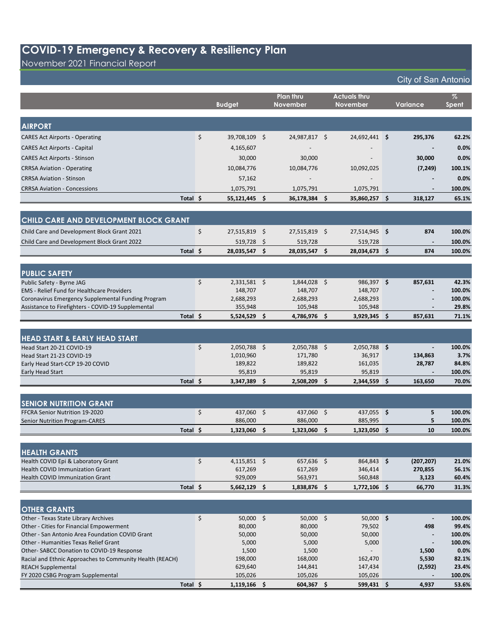November 2021 Financial Report

|                                                                                          |                      |      | <b>Plan thru</b>  | <b>Actuals thru</b> |                          | $\%$             |
|------------------------------------------------------------------------------------------|----------------------|------|-------------------|---------------------|--------------------------|------------------|
|                                                                                          | <b>Budget</b>        |      | November          | <b>November</b>     | <b>Variance</b>          | <b>Spent</b>     |
|                                                                                          |                      |      |                   |                     |                          |                  |
| <b>AIRPORT</b>                                                                           |                      |      |                   |                     |                          |                  |
| <b>CARES Act Airports - Operating</b>                                                    | \$<br>39,708,109 \$  |      | 24,987,817 \$     | 24,692,441 \$       | 295,376                  | 62.2%            |
| <b>CARES Act Airports - Capital</b>                                                      | 4,165,607            |      |                   |                     |                          | 0.0%             |
| <b>CARES Act Airports - Stinson</b>                                                      | 30,000               |      | 30,000            |                     | 30,000                   | 0.0%             |
| <b>CRRSA Aviation - Operating</b>                                                        | 10,084,776           |      | 10,084,776        | 10,092,025          | (7, 249)                 | 100.1%           |
| <b>CRRSA Aviation - Stinson</b>                                                          | 57,162               |      |                   |                     |                          | 0.0%             |
| <b>CRRSA Aviation - Concessions</b>                                                      | 1,075,791            |      | 1,075,791         | 1,075,791           | $\blacksquare$           | 100.0%           |
| Total \$                                                                                 | 55,121,445 \$        |      | 36,178,384 \$     | 35,860,257 \$       | 318,127                  | 65.1%            |
|                                                                                          |                      |      |                   |                     |                          |                  |
| CHILD CARE AND DEVELOPMENT BLOCK GRANT                                                   |                      |      |                   |                     |                          |                  |
| Child Care and Development Block Grant 2021                                              | \$<br>27,515,819 \$  |      | 27,515,819 \$     | 27,514,945 \$       | 874                      | 100.0%           |
| Child Care and Development Block Grant 2022                                              | $519,728$ \$         |      | 519,728           | 519,728             |                          | 100.0%           |
| Total \$                                                                                 | 28,035,547 \$        |      | 28,035,547 \$     | 28,034,673 \$       | 874                      | 100.0%           |
|                                                                                          |                      |      |                   |                     |                          |                  |
| <b>PUBLIC SAFETY</b>                                                                     |                      |      |                   |                     |                          |                  |
| Public Safety - Byrne JAG                                                                | \$<br>$2,331,581$ \$ |      | $1,844,028$ \$    | 986,397 \$          | 857,631                  | 42.3%            |
| <b>EMS</b> - Relief Fund for Healthcare Providers                                        | 148,707              |      | 148,707           | 148,707             | $\sim$                   | 100.0%           |
| Coronavirus Emergency Supplemental Funding Program                                       | 2,688,293            |      | 2,688,293         | 2,688,293           |                          | 100.0%           |
| Assistance to Firefighters - COVID-19 Supplemental                                       | 355,948              |      | 105,948           | 105,948             |                          | 29.8%            |
| Total \$                                                                                 | $5,524,529$ \$       |      | 4,786,976 \$      | 3,929,345 \$        | 857,631                  | 71.1%            |
|                                                                                          |                      |      |                   |                     |                          |                  |
| <b>HEAD START &amp; EARLY HEAD START</b>                                                 |                      |      |                   |                     |                          |                  |
| Head Start 20-21 COVID-19                                                                | \$<br>2,050,788 \$   |      | 2,050,788 \$      | 2,050,788 \$        |                          | 100.0%           |
| Head Start 21-23 COVID-19                                                                | 1,010,960            |      | 171,780           | 36,917              | 134,863                  | 3.7%<br>84.8%    |
| Early Head Start-CCP 19-20 COVID<br>Early Head Start                                     | 189,822<br>95,819    |      | 189,822<br>95,819 | 161,035<br>95,819   | 28,787                   | 100.0%           |
| Total \$                                                                                 | 3,347,389            | - \$ | 2,508,209 \$      | $2,344,559$ \$      | 163,650                  | 70.0%            |
|                                                                                          |                      |      |                   |                     |                          |                  |
| <b>SENIOR NUTRITION GRANT</b>                                                            |                      |      |                   |                     |                          |                  |
| FFCRA Senior Nutrition 19-2020                                                           | \$<br>437,060 \$     |      | 437,060 \$        | 437,055 \$          | 5                        | 100.0%           |
| <b>Senior Nutrition Program-CARES</b>                                                    | 886,000              |      | 886,000           | 885,995             | 5                        | 100.0%           |
| Total \$                                                                                 | 1.323.060            | \$.  | 1,323,060 \$      | 1,323,050 \$        | 10                       | 100.0%           |
|                                                                                          |                      |      |                   |                     |                          |                  |
| <b>HEALTH GRANTS</b>                                                                     |                      |      |                   |                     |                          |                  |
| Health COVID Epi & Laboratory Grant                                                      | \$<br>$4,115,851$ \$ |      | $657,636$ \$      | 864,843 \$          | (207, 207)               | 21.0%            |
| Health COVID Immunization Grant                                                          | 617,269              |      | 617,269           | 346,414             | 270,855                  | 56.1%            |
| <b>Health COVID Immunization Grant</b>                                                   | 929,009              |      | 563,971           | 560,848             | 3,123                    | 60.4%            |
| Total \$                                                                                 | $5,662,129$ \$       |      | 1,838,876 \$      | 1,772,106 \$        | 66,770                   | 31.3%            |
|                                                                                          |                      |      |                   |                     |                          |                  |
| <b>OTHER GRANTS</b>                                                                      |                      |      |                   |                     |                          |                  |
| Other - Texas State Library Archives                                                     | \$<br>50,000 \$      |      | 50,000 \$         | 50,000 \$           |                          | 100.0%           |
| Other - Cities for Financial Empowerment                                                 | 80,000               |      | 80,000            | 79,502              | 498                      | 99.4%            |
| Other - San Antonio Area Foundation COVID Grant<br>Other - Humanities Texas Relief Grant | 50,000<br>5,000      |      | 50,000<br>5,000   | 50,000<br>5,000     | $\overline{\phantom{a}}$ | 100.0%<br>100.0% |
| Other-SABCC Donation to COVID-19 Response                                                | 1,500                |      | 1,500             |                     | 1,500                    | 0.0%             |
| Racial and Ethnic Approaches to Community Health (REACH)                                 | 198,000              |      | 168,000           | 162,470             | 5,530                    | 82.1%            |
| <b>REACH Supplemental</b>                                                                | 629,640              |      | 144,841           | 147,434             | (2,592)                  | 23.4%            |
| FY 2020 CSBG Program Supplemental                                                        | 105,026              |      | 105,026           | 105,026             |                          | 100.0%           |
| Total \$                                                                                 | $1,119,166$ \$       |      | 604,367 \$        | 599,431 \$          | 4,937                    | 53.6%            |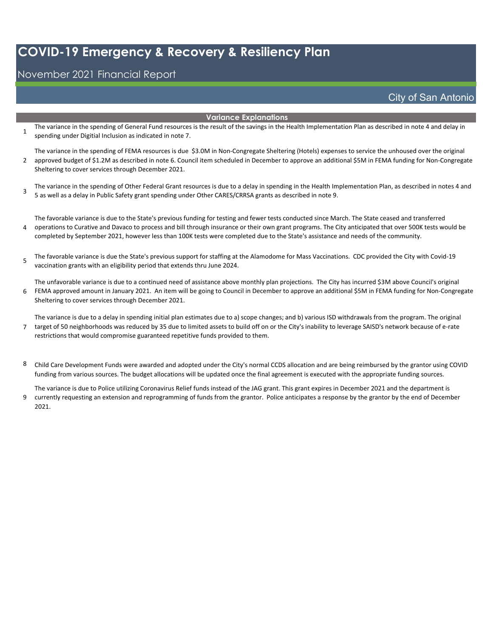#### November 2021 Financial Report

#### City of San Antonio

#### **Variance Explanations**

- 1 The variance in the spending of General Fund resources is the result of the savings in the Health Implementation Plan as described in note 4 and delay in spending under Digitial Inclusion as indicated in note 7.
- 2 The variance in the spending of FEMA resources is due \$3.0M in Non-Congregate Sheltering (Hotels) expenses to service the unhoused over the original approved budget of \$1.2M as described in note 6. Council item scheduled in December to approve an additional \$5M in FEMA funding for Non-Congregate Sheltering to cover services through December 2021.
- 3 The variance in the spending of Other Federal Grant resources is due to a delay in spending in the Health Implementation Plan, as described in notes 4 and 5 as well as a delay in Public Safety grant spending under Other CARES/CRRSA grants as described in note 9.

4 The favorable variance is due to the State's previous funding for testing and fewer tests conducted since March. The State ceased and transferred operations to Curative and Davaco to process and bill through insurance or their own grant programs. The City anticipated that over 500K tests would be completed by September 2021, however less than 100K tests were completed due to the State's assistance and needs of the community.

5 The favorable variance is due the State's previous support for staffing at the Alamodome for Mass Vaccinations. CDC provided the City with Covid-19 vaccination grants with an eligibility period that extends thru June 2024.

6 The unfavorable variance is due to a continued need of assistance above monthly plan projections. The City has incurred \$3M above Council's original FEMA approved amount in January 2021. An item will be going to Council in December to approve an additional \$5M in FEMA funding for Non-Congregate Sheltering to cover services through December 2021.

7 The variance is due to a delay in spending initial plan estimates due to a) scope changes; and b) various ISD withdrawals from the program. The original target of 50 neighborhoods was reduced by 35 due to limited assets to build off on or the City's inability to leverage SAISD's network because of e-rate restrictions that would compromise guaranteed repetitive funds provided to them.

8 Child Care Development Funds were awarded and adopted under the City's normal CCDS allocation and are being reimbursed by the grantor using COVID funding from various sources. The budget allocations will be updated once the final agreement is executed with the appropriate funding sources.

9 The variance is due to Police utilizing Coronavirus Relief funds instead of the JAG grant. This grant expires in December 2021 and the department is currently requesting an extension and reprogramming of funds from the grantor. Police anticipates a response by the grantor by the end of December 2021.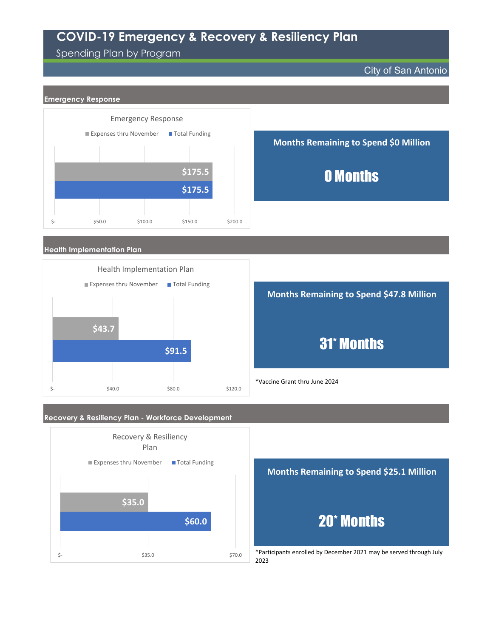#### Spending Plan by Program





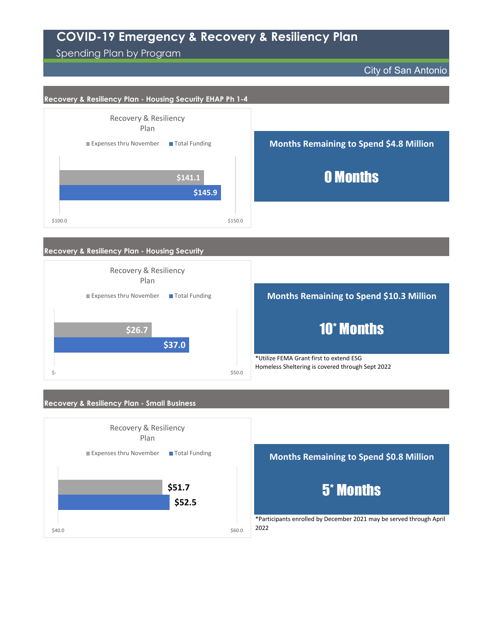Spending Plan by Program

 $$40.0$  \$40.0

City of San Antonio



\*Participants enrolled by December 2021 may be served through April 2022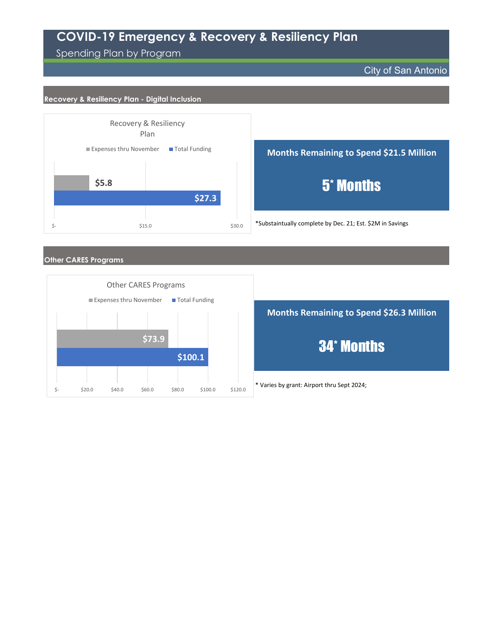Spending Plan by Program

City of San Antonio

#### **Recovery & Resiliency Plan - Digital Inclusion**



**Months Remaining to Spend \$21.5 Million**

5\* Months

\*Substaintually complete by Dec. 21; Est. \$2M in Savings

#### **Other CARES Programs**



\* Varies by grant: Airport thru Sept 2024; **Months Remaining to Spend \$26.3 Million** 34\* Months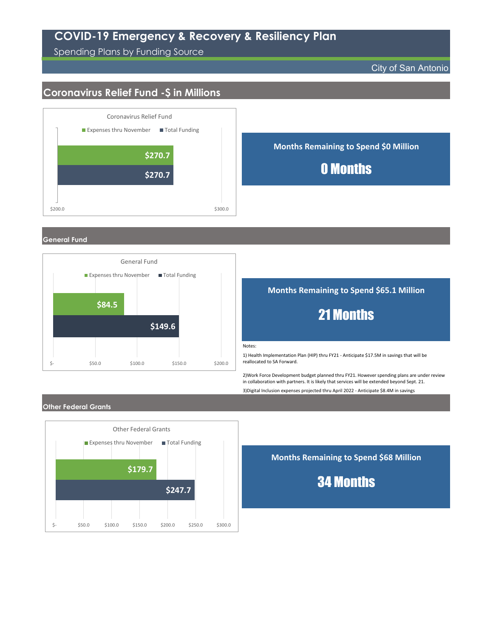Spending Plans by Funding Source

#### City of San Antonio

### **Coronavirus Relief Fund -\$ in Millions**



#### **General Fund**



#### **Months Remaining to Spend \$65.1 Million**

### 21 Months

Notes:

1) Health Implementation Plan (HIP) thru FY21 - Anticipate \$17.5M in savings that will be reallocated to SA Forward.

2)Work Force Development budget planned thru FY21. However spending plans are under review in collaboration with partners. It is likely that services will be extended beyond Sept. 21.

3)Digital Inclusion expenses projected thru April 2022 - Anticipate \$8.4M in savings

#### **Other Federal Grants**



**Months Remaining to Spend \$68 Million**

34 Months